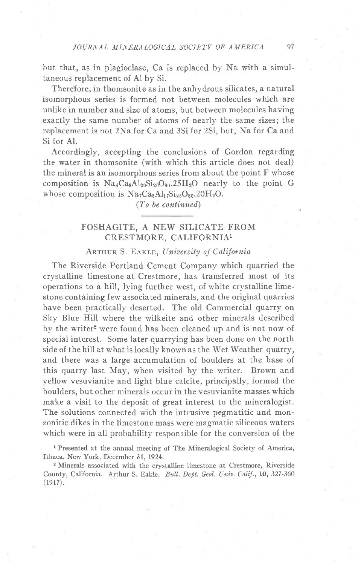but that, as in plagioclase, Ca is replaced by Na with a simultaneous replacement of Al by Si.

There{ore, in thomsonite as in the anhydrous silicates, a natural isomorphous series is formed not between molecules which are unlike in number and size of atoms, but between molecules having exactly the same number of atoms of nearly the same sizes; the replacement is not 2Na for Ca and 3Si for 2Si, but, Na for Ca and Si for Al.

Accordingly, accepting the conclusions of Gordon regarding the water in thomsonite (with which this article does not deal) the mineral is an isomorphous series from about the point F whose composition is  $Na_4Ca_8Al_{20}Si_{20}O_{80}$ ,  $25H_2O$  nearly to the point G whose composition is  $Na<sub>7</sub>Ca<sub>5</sub>Al<sub>17</sub>Si<sub>23</sub>O<sub>80</sub> 20H<sub>2</sub>O$ .

(To be continued)

## FOSHAGITE, A NEW SILICATE FROM CRESTMORE, CALIFORNIA1

## ARTHUR S. EAKLE, University of California

The Riverside Portland Cement Company which quarried the crystalline limestone at Crestmore, has transferred most of its operations to a hill, lying further west, of white crystalline limestone containing few associated minerals, and the original quarries have been practically deserted. The old Commercial quarry on Sky Blue Hill where the wilkeite and other minerals described by the writer<sup>2</sup> were found has been cleaned up and is not now of special interest. Some later quarrying has been done on the north side of the hill at what is locally known as the Wet Weather quarry, and there was a large accumulation of boulders at the base of this quarry last May, when visited by the writer. Brown and vellow vesuvianite and light blue calcite, principally, formed the boulders, but other minerals occur in the vesuvianite masses which make a visit to the deposit of great interest to the mineralogist. The solutions connected with the intrusive pegmatitic and monzonitic dikes in the limestone mass were magmatic siliceous waters which were in all probability responsible for the conversion of the

<sup>1</sup> Presented at the annual meeting of The Mineralogical Society of America, Ithaca, New York, December 31, 1924.

2 Minerals associated with the crystalline limestone at Crestmore, Riverside County, California. Arthur S. Eakle. Bull. Dept. Geol. Univ. Calif., 10, 327-360 (1917).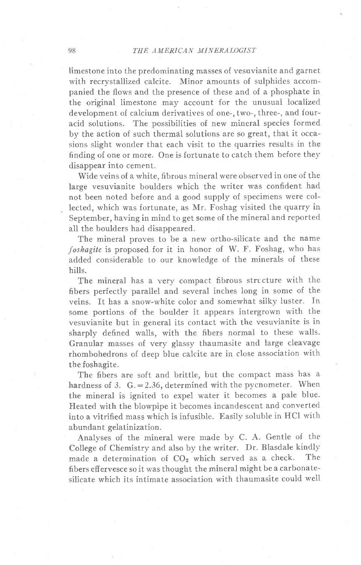## THE AMERICAN MINERALOGIST

limestone into the predominating masses of vesuvianite and garnet with recrystallized calcite. Minor amounts of sulphides accompanied the flows and the presence of these and of a phosphate in the original limestone may account for the unusual localized development of calcium derivatives of one-, two-, three-, and fouracid solutions. The possibilities of new mineral species formed by the action of such thermal solutions are so great, that it occasions slight wonder that each visit to the quarries results in the finding of one or more. One is fortunate to catch them before they disappear into cement.

Wide veins of a white, fibrous mineral were observed in one of the large vesuvianite boulders which the writer was confident had not been noted before and a good supply of specimens were collected, which was fortunate, as Mr. Foshag visited the quarry in September, having in mind to get some of the mineral and reported all the boulders had disappeared.

The mineral proves to be a new ortho-silicate and the name foshagite is proposed for it in honor of W. F. Foshag, who has added considerable to our knowledge of the minerals of these hills.

The mineral has a very compact fibrous structure with the fibers perfectly parallel and several inches long in some of the veins. It has a snow-white color and somewhat silky luster. In some portions of the boulder it appears intergrown with the vesuvianite but in general its contact with the vesuvianite is in sharply defined walls, with the fibers normal to these walls. Granular masses of very glassy thaumasite and large cleavage rhombohedrons of deep blue calcite are in close association with the foshagite.

The fibers are soft and brittle, but the compact mass has a hardness of 3.  $G = 2.36$ , determined with the pycnometer. When the mineral is ignited to expel water it becomes a paie blue. Heated with the blowpipe it becomes incandescent and converted into a vitrified mass which is infusible. Easily soluble in HCI with abundant gelatinization.

Analyses of the mineral were made by C. A. Gentle of the College of Chemistry and also by the writer. Dr. Blasdale kindly made a determination of CO<sub>2</sub> which served as a check. The fibers effervesce so it was thought the mineral might be a carbonatesilicate which its intimate association with thaumasite could well